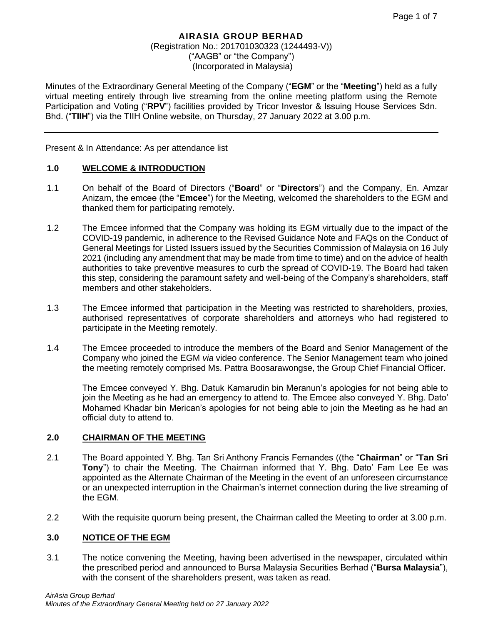Minutes of the Extraordinary General Meeting of the Company ("**EGM**" or the "**Meeting**") held as a fully virtual meeting entirely through live streaming from the online meeting platform using the Remote Participation and Voting ("**RPV**") facilities provided by Tricor Investor & Issuing House Services Sdn. Bhd. ("**TIIH**") via the TIIH Online website, on Thursday, 27 January 2022 at 3.00 p.m.

Present & In Attendance: As per attendance list

#### **1.0 WELCOME & INTRODUCTION**

- 1.1 On behalf of the Board of Directors ("**Board**" or "**Directors**") and the Company, En. Amzar Anizam, the emcee (the "**Emcee**") for the Meeting, welcomed the shareholders to the EGM and thanked them for participating remotely.
- 1.2 The Emcee informed that the Company was holding its EGM virtually due to the impact of the COVID-19 pandemic, in adherence to the Revised Guidance Note and FAQs on the Conduct of General Meetings for Listed Issuers issued by the Securities Commission of Malaysia on 16 July 2021 (including any amendment that may be made from time to time) and on the advice of health authorities to take preventive measures to curb the spread of COVID-19. The Board had taken this step, considering the paramount safety and well-being of the Company's shareholders, staff members and other stakeholders.
- 1.3 The Emcee informed that participation in the Meeting was restricted to shareholders, proxies, authorised representatives of corporate shareholders and attorneys who had registered to participate in the Meeting remotely.
- 1.4 The Emcee proceeded to introduce the members of the Board and Senior Management of the Company who joined the EGM *via* video conference. The Senior Management team who joined the meeting remotely comprised Ms. Pattra Boosarawongse, the Group Chief Financial Officer.

The Emcee conveyed Y. Bhg. Datuk Kamarudin bin Meranun's apologies for not being able to join the Meeting as he had an emergency to attend to. The Emcee also conveyed Y. Bhg. Dato' Mohamed Khadar bin Merican's apologies for not being able to join the Meeting as he had an official duty to attend to.

#### **2.0 CHAIRMAN OF THE MEETING**

- 2.1 The Board appointed Y. Bhg. Tan Sri Anthony Francis Fernandes ((the "**Chairman**" or "**Tan Sri Tony**") to chair the Meeting. The Chairman informed that Y. Bhg. Dato' Fam Lee Ee was appointed as the Alternate Chairman of the Meeting in the event of an unforeseen circumstance or an unexpected interruption in the Chairman's internet connection during the live streaming of the EGM.
- 2.2 With the requisite quorum being present, the Chairman called the Meeting to order at 3.00 p.m.

#### **3.0 NOTICE OF THE EGM**

3.1 The notice convening the Meeting, having been advertised in the newspaper, circulated within the prescribed period and announced to Bursa Malaysia Securities Berhad ("**Bursa Malaysia**"), with the consent of the shareholders present, was taken as read.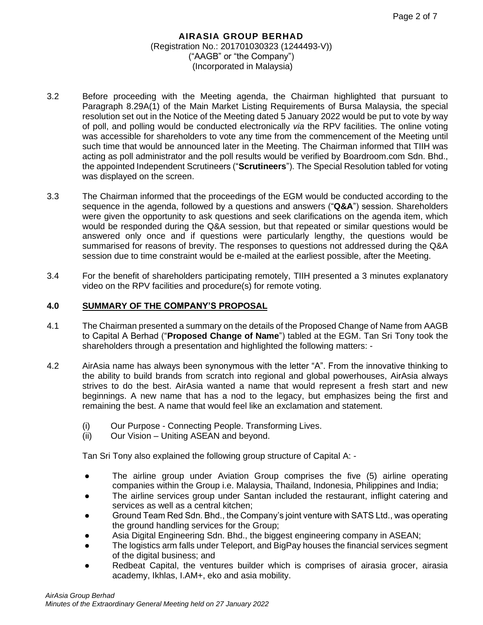- 3.2 Before proceeding with the Meeting agenda, the Chairman highlighted that pursuant to Paragraph 8.29A(1) of the Main Market Listing Requirements of Bursa Malaysia, the special resolution set out in the Notice of the Meeting dated 5 January 2022 would be put to vote by way of poll, and polling would be conducted electronically *via* the RPV facilities. The online voting was accessible for shareholders to vote any time from the commencement of the Meeting until such time that would be announced later in the Meeting. The Chairman informed that TIIH was acting as poll administrator and the poll results would be verified by Boardroom.com Sdn. Bhd., the appointed Independent Scrutineers ("**Scrutineers**"). The Special Resolution tabled for voting was displayed on the screen.
- 3.3 The Chairman informed that the proceedings of the EGM would be conducted according to the sequence in the agenda, followed by a questions and answers ("**Q&A**") session. Shareholders were given the opportunity to ask questions and seek clarifications on the agenda item, which would be responded during the Q&A session, but that repeated or similar questions would be answered only once and if questions were particularly lengthy, the questions would be summarised for reasons of brevity. The responses to questions not addressed during the Q&A session due to time constraint would be e-mailed at the earliest possible, after the Meeting.
- 3.4 For the benefit of shareholders participating remotely, TIIH presented a 3 minutes explanatory video on the RPV facilities and procedure(s) for remote voting.

## **4.0 SUMMARY OF THE COMPANY'S PROPOSAL**

- 4.1 The Chairman presented a summary on the details of the Proposed Change of Name from AAGB to Capital A Berhad ("**Proposed Change of Name**") tabled at the EGM. Tan Sri Tony took the shareholders through a presentation and highlighted the following matters: -
- 4.2 AirAsia name has always been synonymous with the letter "A". From the innovative thinking to the ability to build brands from scratch into regional and global powerhouses, AirAsia always strives to do the best. AirAsia wanted a name that would represent a fresh start and new beginnings. A new name that has a nod to the legacy, but emphasizes being the first and remaining the best. A name that would feel like an exclamation and statement.
	- (i) Our Purpose Connecting People. Transforming Lives.
	- (ii) Our Vision Uniting ASEAN and beyond.

Tan Sri Tony also explained the following group structure of Capital A: -

- The airline group under Aviation Group comprises the five (5) airline operating companies within the Group i.e. Malaysia, Thailand, Indonesia, Philippines and India;
- The airline services group under Santan included the restaurant, inflight catering and services as well as a central kitchen;
- Ground Team Red Sdn. Bhd., the Company's joint venture with SATS Ltd., was operating the ground handling services for the Group;
- Asia Digital Engineering Sdn. Bhd., the biggest engineering company in ASEAN;
- The logistics arm falls under Teleport, and BigPay houses the financial services segment of the digital business; and
- Redbeat Capital, the ventures builder which is comprises of airasia grocer, airasia academy, Ikhlas, I.AM+, eko and asia mobility.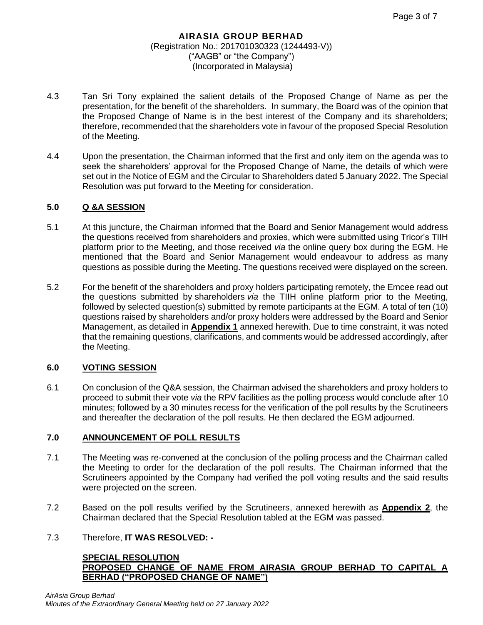- 4.3 Tan Sri Tony explained the salient details of the Proposed Change of Name as per the presentation, for the benefit of the shareholders. In summary, the Board was of the opinion that the Proposed Change of Name is in the best interest of the Company and its shareholders; therefore, recommended that the shareholders vote in favour of the proposed Special Resolution of the Meeting.
- 4.4 Upon the presentation, the Chairman informed that the first and only item on the agenda was to seek the shareholders' approval for the Proposed Change of Name, the details of which were set out in the Notice of EGM and the Circular to Shareholders dated 5 January 2022. The Special Resolution was put forward to the Meeting for consideration.

## **5.0 Q &A SESSION**

- 5.1 At this juncture, the Chairman informed that the Board and Senior Management would address the questions received from shareholders and proxies, which were submitted using Tricor's TIIH platform prior to the Meeting, and those received *via* the online query box during the EGM. He mentioned that the Board and Senior Management would endeavour to address as many questions as possible during the Meeting. The questions received were displayed on the screen.
- 5.2 For the benefit of the shareholders and proxy holders participating remotely, the Emcee read out the questions submitted by shareholders *via* the TIIH online platform prior to the Meeting, followed by selected question(s) submitted by remote participants at the EGM. A total of ten (10) questions raised by shareholders and/or proxy holders were addressed by the Board and Senior Management, as detailed in **Appendix 1** annexed herewith. Due to time constraint, it was noted that the remaining questions, clarifications, and comments would be addressed accordingly, after the Meeting.

## **6.0 VOTING SESSION**

6.1 On conclusion of the Q&A session, the Chairman advised the shareholders and proxy holders to proceed to submit their vote *via* the RPV facilities as the polling process would conclude after 10 minutes; followed by a 30 minutes recess for the verification of the poll results by the Scrutineers and thereafter the declaration of the poll results. He then declared the EGM adjourned.

## **7.0 ANNOUNCEMENT OF POLL RESULTS**

- 7.1 The Meeting was re-convened at the conclusion of the polling process and the Chairman called the Meeting to order for the declaration of the poll results. The Chairman informed that the Scrutineers appointed by the Company had verified the poll voting results and the said results were projected on the screen.
- 7.2 Based on the poll results verified by the Scrutineers, annexed herewith as **Appendix 2**, the Chairman declared that the Special Resolution tabled at the EGM was passed.

## 7.3 Therefore, **IT WAS RESOLVED: -**

#### **SPECIAL RESOLUTION PROPOSED CHANGE OF NAME FROM AIRASIA GROUP BERHAD TO CAPITAL A BERHAD ("PROPOSED CHANGE OF NAME")**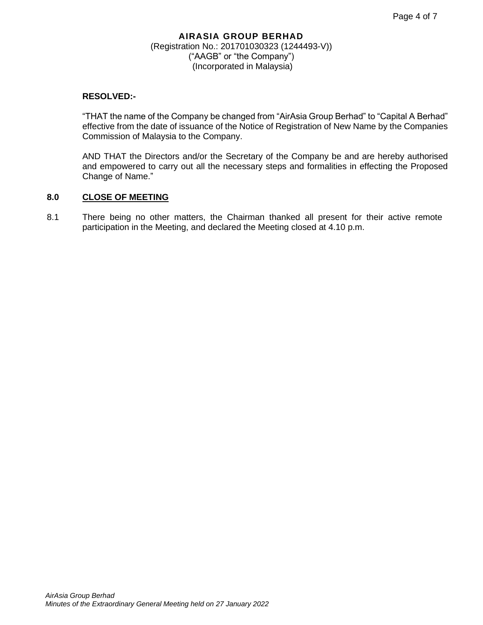## **RESOLVED:-**

"THAT the name of the Company be changed from "AirAsia Group Berhad" to "Capital A Berhad" effective from the date of issuance of the Notice of Registration of New Name by the Companies Commission of Malaysia to the Company.

AND THAT the Directors and/or the Secretary of the Company be and are hereby authorised and empowered to carry out all the necessary steps and formalities in effecting the Proposed Change of Name."

## **8.0 CLOSE OF MEETING**

8.1 There being no other matters, the Chairman thanked all present for their active remote participation in the Meeting, and declared the Meeting closed at 4.10 p.m.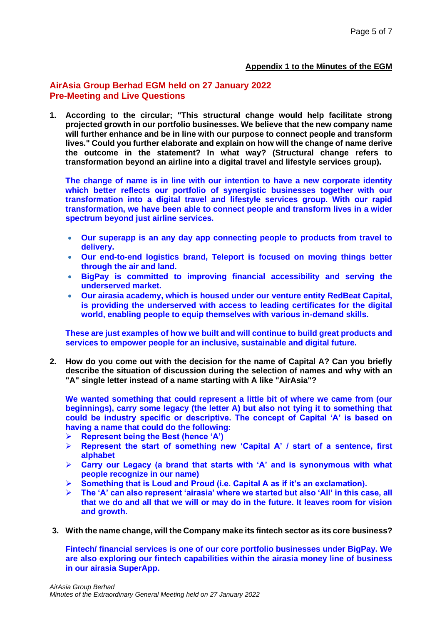#### **Appendix 1 to the Minutes of the EGM**

## **AirAsia Group Berhad EGM held on 27 January 2022 Pre-Meeting and Live Questions**

**1. According to the circular; "This structural change would help facilitate strong projected growth in our portfolio businesses. We believe that the new company name will further enhance and be in line with our purpose to connect people and transform lives." Could you further elaborate and explain on how will the change of name derive the outcome in the statement? In what way? (Structural change refers to transformation beyond an airline into a digital travel and lifestyle services group).**

**The change of name is in line with our intention to have a new corporate identity which better reflects our portfolio of synergistic businesses together with our transformation into a digital travel and lifestyle services group. With our rapid transformation, we have been able to connect people and transform lives in a wider spectrum beyond just airline services.**

- **Our superapp is an any day app connecting people to products from travel to delivery.**
- **Our end-to-end logistics brand, Teleport is focused on moving things better through the air and land.**
- **BigPay is committed to improving financial accessibility and serving the underserved market.**
- **Our airasia academy, which is housed under our venture entity RedBeat Capital, is providing the underserved with access to leading certificates for the digital world, enabling people to equip themselves with various in-demand skills.**

**These are just examples of how we built and will continue to build great products and services to empower people for an inclusive, sustainable and digital future.**

**2. How do you come out with the decision for the name of Capital A? Can you briefly describe the situation of discussion during the selection of names and why with an "A" single letter instead of a name starting with A like "AirAsia"?**

**We wanted something that could represent a little bit of where we came from (our beginnings), carry some legacy (the letter A) but also not tying it to something that could be industry specific or descriptive. The concept of Capital 'A' is based on having a name that could do the following:**

- ➢ **Represent being the Best (hence 'A')**
- ➢ **Represent the start of something new 'Capital A' / start of a sentence, first alphabet**
- ➢ **Carry our Legacy (a brand that starts with 'A' and is synonymous with what people recognize in our name)**
- ➢ **Something that is Loud and Proud (i.e. Capital A as if it's an exclamation).**
- ➢ **The 'A' can also represent 'airasia' where we started but also 'All' in this case, all that we do and all that we will or may do in the future. It leaves room for vision and growth.**
- **3. With the name change, will the Company make its fintech sector as its core business?**

**Fintech/ financial services is one of our core portfolio businesses under BigPay. We are also exploring our fintech capabilities within the airasia money line of business in our airasia SuperApp.**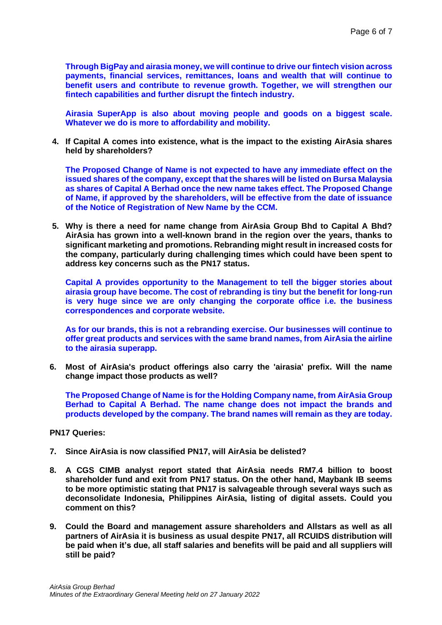**Through BigPay and airasia money, we will continue to drive our fintech vision across payments, financial services, remittances, loans and wealth that will continue to benefit users and contribute to revenue growth. Together, we will strengthen our fintech capabilities and further disrupt the fintech industry.**

**Airasia SuperApp is also about moving people and goods on a biggest scale. Whatever we do is more to affordability and mobility.** 

**4. If Capital A comes into existence, what is the impact to the existing AirAsia shares held by shareholders?**

**The Proposed Change of Name is not expected to have any immediate effect on the issued shares of the company, except that the shares will be listed on Bursa Malaysia as shares of Capital A Berhad once the new name takes effect. The Proposed Change of Name, if approved by the shareholders, will be effective from the date of issuance of the Notice of Registration of New Name by the CCM.**

**5. Why is there a need for name change from AirAsia Group Bhd to Capital A Bhd? AirAsia has grown into a well-known brand in the region over the years, thanks to significant marketing and promotions. Rebranding might result in increased costs for the company, particularly during challenging times which could have been spent to address key concerns such as the PN17 status.**

**Capital A provides opportunity to the Management to tell the bigger stories about airasia group have become. The cost of rebranding is tiny but the benefit for long-run is very huge since we are only changing the corporate office i.e. the business correspondences and corporate website.** 

**As for our brands, this is not a rebranding exercise. Our businesses will continue to offer great products and services with the same brand names, from AirAsia the airline to the airasia superapp.**

**6. Most of AirAsia's product offerings also carry the 'airasia' prefix. Will the name change impact those products as well?**

**The Proposed Change of Name is for the Holding Company name, from AirAsia Group Berhad to Capital A Berhad. The name change does not impact the brands and products developed by the company. The brand names will remain as they are today.**

**PN17 Queries:**

- **7. Since AirAsia is now classified PN17, will AirAsia be delisted?**
- **8. A CGS CIMB analyst report stated that AirAsia needs RM7.4 billion to boost shareholder fund and exit from PN17 status. On the other hand, Maybank IB seems to be more optimistic stating that PN17 is salvageable through several ways such as deconsolidate Indonesia, Philippines AirAsia, listing of digital assets. Could you comment on this?**
- **9. Could the Board and management assure shareholders and Allstars as well as all partners of AirAsia it is business as usual despite PN17, all RCUIDS distribution will be paid when it's due, all staff salaries and benefits will be paid and all suppliers will still be paid?**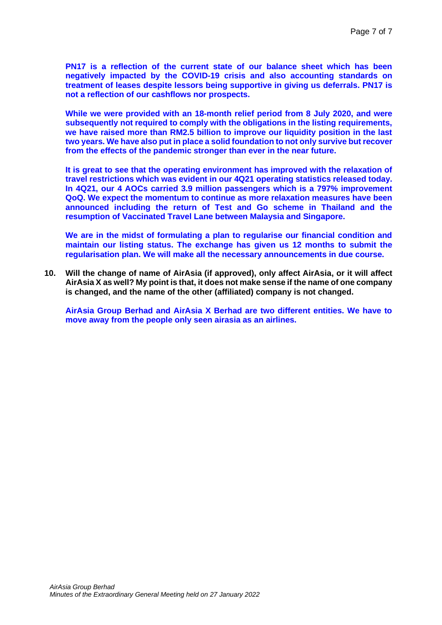**PN17 is a reflection of the current state of our balance sheet which has been negatively impacted by the COVID-19 crisis and also accounting standards on treatment of leases despite lessors being supportive in giving us deferrals. PN17 is not a reflection of our cashflows nor prospects.**

**While we were provided with an 18-month relief period from 8 July 2020, and were subsequently not required to comply with the obligations in the listing requirements, we have raised more than RM2.5 billion to improve our liquidity position in the last two years. We have also put in place a solid foundation to not only survive but recover from the effects of the pandemic stronger than ever in the near future.**

**It is great to see that the operating environment has improved with the relaxation of travel restrictions which was evident in our 4Q21 operating statistics released today. In 4Q21, our 4 AOCs carried 3.9 million passengers which is a 797% improvement QoQ. We expect the momentum to continue as more relaxation measures have been announced including the return of Test and Go scheme in Thailand and the resumption of Vaccinated Travel Lane between Malaysia and Singapore.**

**We are in the midst of formulating a plan to regularise our financial condition and maintain our listing status. The exchange has given us 12 months to submit the regularisation plan. We will make all the necessary announcements in due course.**

**10. Will the change of name of AirAsia (if approved), only affect AirAsia, or it will affect AirAsia X as well? My point is that, it does not make sense if the name of one company is changed, and the name of the other (affiliated) company is not changed.**

**AirAsia Group Berhad and AirAsia X Berhad are two different entities. We have to move away from the people only seen airasia as an airlines.**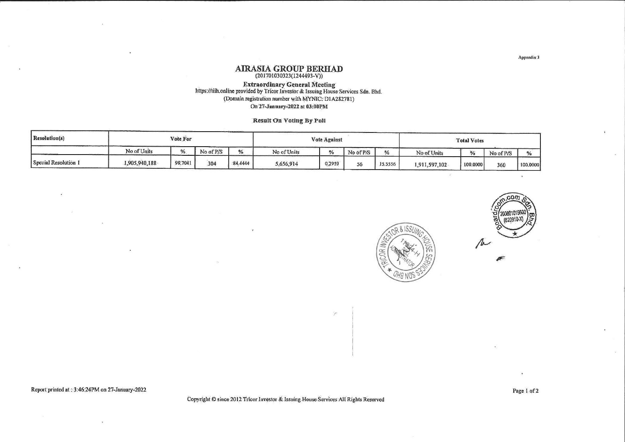# $\begin{array}{c} \textbf{AIRASIA} \textbf{ GROUP} \textbf{ BERHAD} \\ \textbf{ (201701030323(1244493-V))} \end{array}$

# Extraordinary General Meeting<br>https://tiih.online provided by Tricor Investor & Issuing House Services Sdn. Bhd. (Domain registration number with MYNIC: D1A282781) On 27-January-2022 at 03:00PM

Result On Voting By Poll

| Resolution(s)        | Vote For      |         |           |         | Vote Against |               |           |              | <b>Total Votes</b> |          |           |               |
|----------------------|---------------|---------|-----------|---------|--------------|---------------|-----------|--------------|--------------------|----------|-----------|---------------|
|                      | No of Units   | %       | No of P/S | %       | No of Units  | $\frac{0}{6}$ | No of P/S | $\mathbf{v}$ | No of Units        |          | No of P/S | $\frac{0}{n}$ |
| Special Resolution 1 | 1,905,940,188 | 99,7041 | 304       | 84.4444 | 5,656,914    | 0,2959        | 56        | 15,5556      | 1,911,597,102      | 100,0000 | 360       | 100,0000      |



Report printed at : 3:46:24PM on 27-January-2022

Copyright C since 2012 Tricor Investor & Issuing House Services All Rights Reserved

Page 1 of 2

 $\langle \hat{a} \rangle$ 

20080101

Appendíx 3